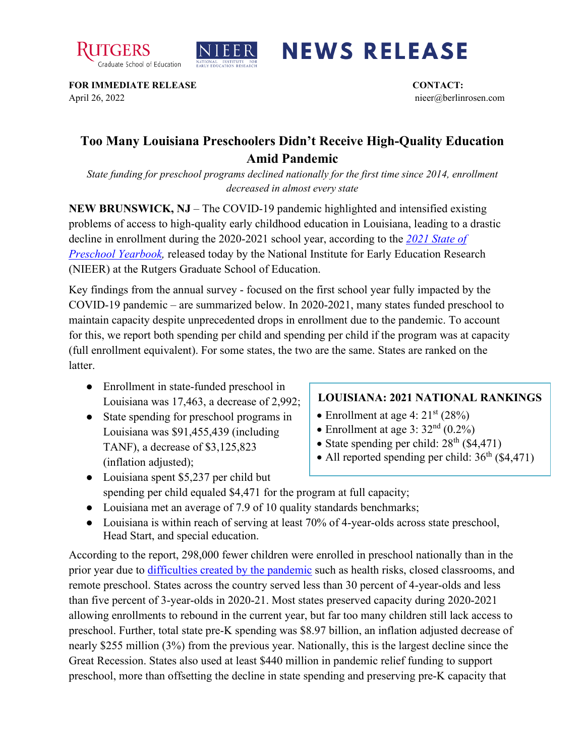



## **NEWS RELEASE**

**FOR IMMEDIATE RELEASE CONTACT:**  April 26, 2022 nieer@berlinrosen.com

## **Too Many Louisiana Preschoolers Didn't Receive High-Quality Education Amid Pandemic**

*State funding for preschool programs declined nationally for the first time since 2014, enrollment decreased in almost every state*

**NEW BRUNSWICK, NJ** – The COVID-19 pandemic highlighted and intensified existing problems of access to high-quality early childhood education in Louisiana, leading to a drastic decline in enrollment during the 2020-2021 school year, according to the *[2021 State of](https://nieer.org/state-preschool-yearbooks-yearbook2021)  [Preschool Yearbook,](https://nieer.org/state-preschool-yearbooks-yearbook2021)* released today by the National Institute for Early Education Research (NIEER) at the Rutgers Graduate School of Education.

Key findings from the annual survey - focused on the first school year fully impacted by the COVID-19 pandemic – are summarized below. In 2020-2021, many states funded preschool to maintain capacity despite unprecedented drops in enrollment due to the pandemic. To account for this, we report both spending per child and spending per child if the program was at capacity (full enrollment equivalent). For some states, the two are the same. States are ranked on the latter.

- Enrollment in state-funded preschool in Louisiana was 17,463, a decrease of 2,992;
- State spending for preschool programs in Louisiana was \$91,455,439 (including TANF), a decrease of \$3,125,823 (inflation adjusted);

## **LOUISIANA: 2021 NATIONAL RANKINGS**

- Enrollment at age 4:  $21<sup>st</sup>$  (28%)
- Enrollment at age 3:  $32<sup>nd</sup>$  (0.2%)
- State spending per child:  $28<sup>th</sup>$  (\$4,471)
- All reported spending per child:  $36<sup>th</sup>$  (\$4,471)
- Louisiana spent \$5,237 per child but spending per child equaled \$4,471 for the program at full capacity;
- Louisiana met an average of 7.9 of 10 quality standards benchmarks;
- Louisiana is within reach of serving at least 70% of 4-year-olds across state preschool, Head Start, and special education.

According to the report, 298,000 fewer children were enrolled in preschool nationally than in the prior year due to [difficulties created by the pandemic](https://nieer.org/wp-content/uploads/2021/02/NIEER_Seven_Impacts_of_the_Pandemic_on_Young_Children_and_their_Parents.pdf) such as health risks, closed classrooms, and remote preschool. States across the country served less than 30 percent of 4-year-olds and less than five percent of 3-year-olds in 2020-21. Most states preserved capacity during 2020-2021 allowing enrollments to rebound in the current year, but far too many children still lack access to preschool. Further, total state pre-K spending was \$8.97 billion, an inflation adjusted decrease of nearly \$255 million (3%) from the previous year. Nationally, this is the largest decline since the Great Recession. States also used at least \$440 million in pandemic relief funding to support preschool, more than offsetting the decline in state spending and preserving pre-K capacity that